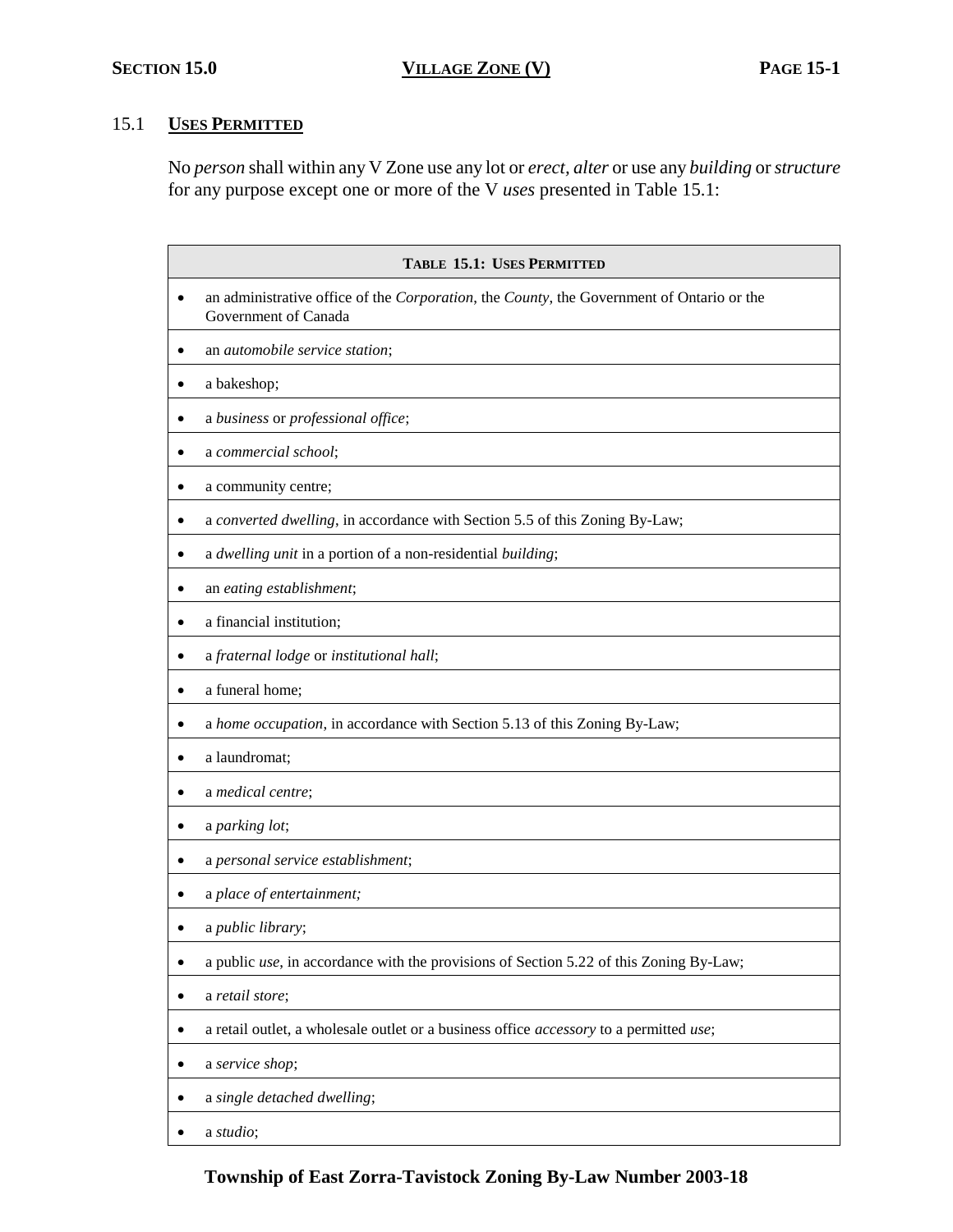# 15.1 **USES PERMITTED**

No *person* shall within any V Zone use any lot or *erect, alter* or use any *building* or *structure* for any purpose except one or more of the V *uses* presented in Table 15.1:

| <b>TABLE 15.1: USES PERMITTED</b>                                                                                 |  |
|-------------------------------------------------------------------------------------------------------------------|--|
| an administrative office of the Corporation, the County, the Government of Ontario or the<br>Government of Canada |  |
| an automobile service station;                                                                                    |  |
| a bakeshop;                                                                                                       |  |
| a business or professional office;                                                                                |  |
| a commercial school;                                                                                              |  |
| a community centre;                                                                                               |  |
| a converted dwelling, in accordance with Section 5.5 of this Zoning By-Law;                                       |  |
| a dwelling unit in a portion of a non-residential building;                                                       |  |
| an eating establishment;                                                                                          |  |
| a financial institution;                                                                                          |  |
| a fraternal lodge or institutional hall;                                                                          |  |
| a funeral home;                                                                                                   |  |
| a home occupation, in accordance with Section 5.13 of this Zoning By-Law;                                         |  |
| a laundromat;                                                                                                     |  |
| a medical centre;                                                                                                 |  |
| a parking lot;<br>٠                                                                                               |  |
| a personal service establishment;                                                                                 |  |
| a place of entertainment;                                                                                         |  |
| a public library;                                                                                                 |  |
| a public use, in accordance with the provisions of Section 5.22 of this Zoning By-Law;                            |  |
| a retail store;                                                                                                   |  |
| a retail outlet, a wholesale outlet or a business office accessory to a permitted use;                            |  |
| a service shop;                                                                                                   |  |
| a single detached dwelling;                                                                                       |  |
| a studio;                                                                                                         |  |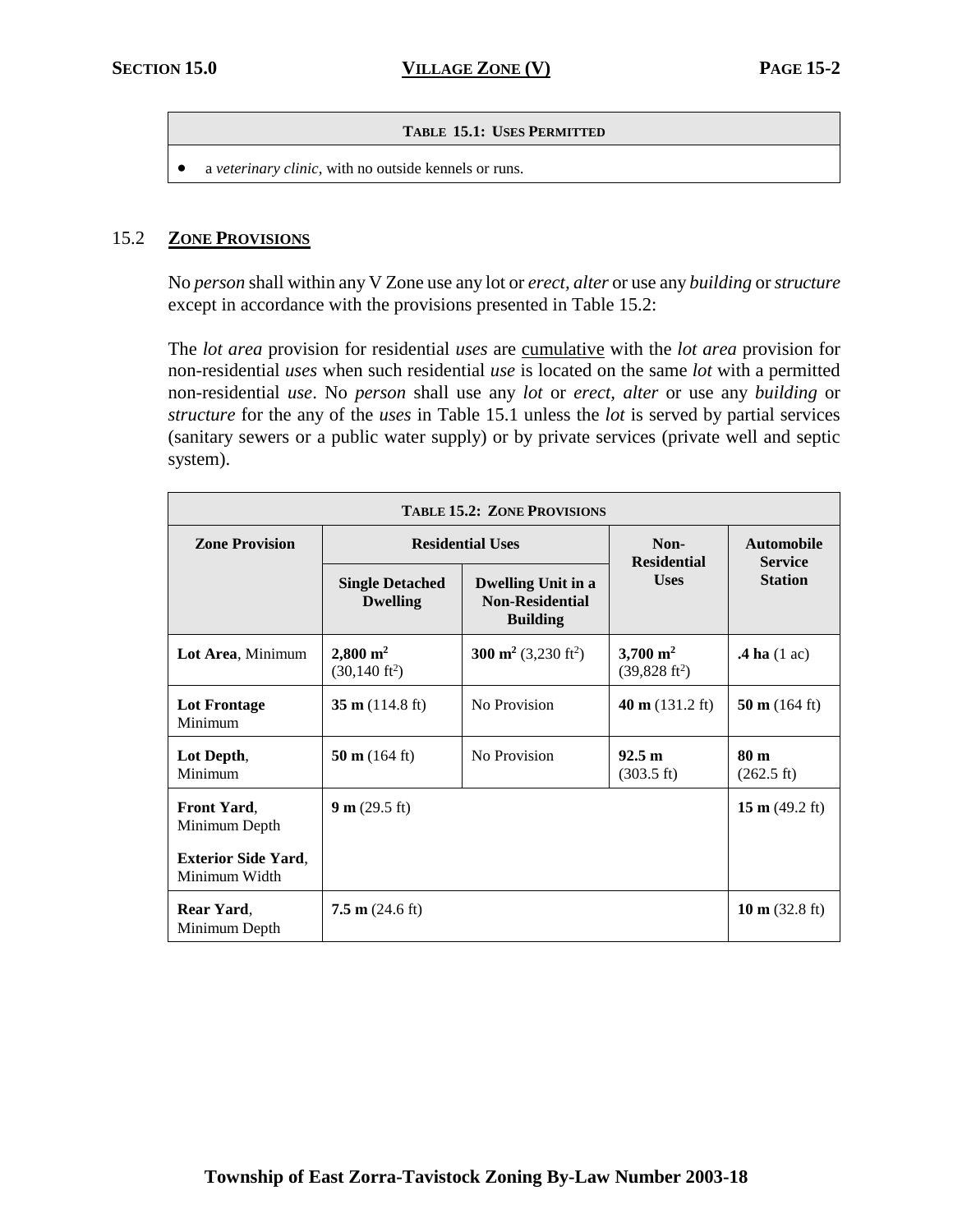#### $T$ **ABLE 15.1: USES PERMITTED**

a *veterinary clinic*, with no outside kennels or runs.

#### 15.2 **ZONE PROVISIONS**

No *person* shall within any V Zone use any lot or *erect, alter* or use any *building* or *structure* except in accordance with the provisions presented in Table 15.2:

The *lot area* provision for residential *uses* are cumulative with the *lot area* provision for non-residential *uses* when such residential *use* is located on the same *lot* with a permitted non-residential *use*. No *person* shall use any *lot* or *erect, alter* or use any *building* or *structure* for the any of the *uses* in Table 15.1 unless the *lot* is served by partial services (sanitary sewers or a public water supply) or by private services (private well and septic system).

| <b>TABLE 15.2: ZONE PROVISIONS</b>          |                                                     |                                                                        |                                                    |                                         |
|---------------------------------------------|-----------------------------------------------------|------------------------------------------------------------------------|----------------------------------------------------|-----------------------------------------|
| <b>Zone Provision</b>                       | <b>Residential Uses</b>                             |                                                                        | Non-<br><b>Residential</b>                         | <b>Automobile</b><br><b>Service</b>     |
|                                             | <b>Single Detached</b><br><b>Dwelling</b>           | <b>Dwelling Unit in a</b><br><b>Non-Residential</b><br><b>Building</b> | <b>Uses</b>                                        | <b>Station</b>                          |
| Lot Area, Minimum                           | $2,800 \; \mathrm{m}^2$<br>$(30, 140 \text{ ft}^2)$ | 300 m <sup>2</sup> (3,230 ft <sup>2</sup> )                            | $3,700 \; \mathrm{m}^2$<br>$(39,828 \text{ ft}^2)$ | $\mathbf{A}$ ha (1 ac)                  |
| <b>Lot Frontage</b><br>Minimum              | 35 m $(114.8 \text{ ft})$                           | No Provision                                                           | 40 m $(131.2 \text{ ft})$                          | 50 m $(164 \text{ ft})$                 |
| Lot Depth,<br>Minimum                       | 50 m $(164 \text{ ft})$                             | No Provision                                                           | 92.5 m<br>$(303.5 \text{ ft})$                     | 80 <sub>m</sub><br>$(262.5 \text{ ft})$ |
| <b>Front Yard,</b><br>Minimum Depth         | 9 m (29.5 ft)                                       |                                                                        |                                                    | 15 m $(49.2 \text{ ft})$                |
| <b>Exterior Side Yard.</b><br>Minimum Width |                                                     |                                                                        |                                                    |                                         |
| Rear Yard,<br>Minimum Depth                 | $7.5 \text{ m}$ (24.6 ft)                           |                                                                        |                                                    | 10 m $(32.8 \text{ ft})$                |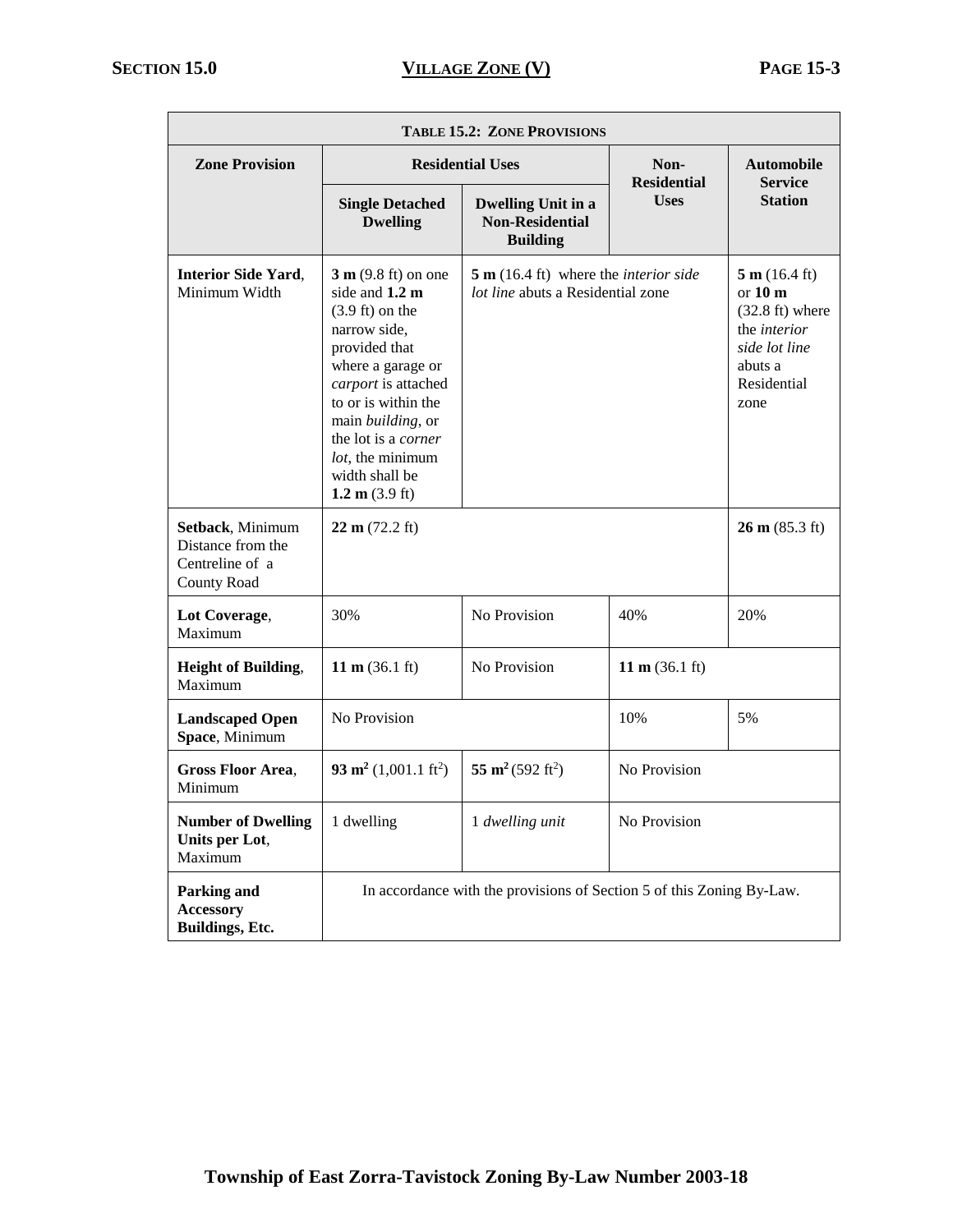| <b>TABLE 15.2: ZONE PROVISIONS</b>                                             |                                                                                                                                                                                                                                                                                                        |                                                                                             |                            |                                                                                                                                           |
|--------------------------------------------------------------------------------|--------------------------------------------------------------------------------------------------------------------------------------------------------------------------------------------------------------------------------------------------------------------------------------------------------|---------------------------------------------------------------------------------------------|----------------------------|-------------------------------------------------------------------------------------------------------------------------------------------|
| <b>Zone Provision</b>                                                          | <b>Residential Uses</b>                                                                                                                                                                                                                                                                                |                                                                                             | Non-<br><b>Residential</b> | <b>Automobile</b><br><b>Service</b>                                                                                                       |
|                                                                                | <b>Single Detached</b><br><b>Dwelling</b>                                                                                                                                                                                                                                                              | <b>Dwelling Unit in a</b><br><b>Non-Residential</b><br><b>Building</b>                      | <b>Uses</b>                | <b>Station</b>                                                                                                                            |
| <b>Interior Side Yard,</b><br>Minimum Width                                    | $3 m (9.8 ft)$ on one<br>side and 1.2 m<br>$(3.9 \text{ ft})$ on the<br>narrow side,<br>provided that<br>where a garage or<br>carport is attached<br>to or is within the<br>main <i>building</i> , or<br>the lot is a corner<br><i>lot</i> , the minimum<br>width shall be<br>1.2 m $(3.9 \text{ ft})$ | $5 \text{ m}$ (16.4 ft) where the <i>interior side</i><br>lot line abuts a Residential zone |                            | 5 m (16.4 ft)<br>or $10 \text{ m}$<br>$(32.8 \text{ ft})$ where<br>the <i>interior</i><br>side lot line<br>abuts a<br>Residential<br>zone |
| Setback, Minimum<br>Distance from the<br>Centreline of a<br><b>County Road</b> | 22 m (72.2 ft)                                                                                                                                                                                                                                                                                         |                                                                                             |                            | $26 \text{ m} (85.3 \text{ ft})$                                                                                                          |
| Lot Coverage,<br>Maximum                                                       | 30%                                                                                                                                                                                                                                                                                                    | No Provision                                                                                | 40%                        | 20%                                                                                                                                       |
| <b>Height of Building,</b><br>Maximum                                          | No Provision<br>11 m $(36.1 \text{ ft})$                                                                                                                                                                                                                                                               |                                                                                             | 11 m $(36.1 \text{ ft})$   |                                                                                                                                           |
| <b>Landscaped Open</b><br>Space, Minimum                                       | No Provision                                                                                                                                                                                                                                                                                           |                                                                                             | 10%                        | 5%                                                                                                                                        |
| <b>Gross Floor Area.</b><br>Minimum                                            | 93 m <sup>2</sup> $(1,001.1 \text{ ft}^2)$                                                                                                                                                                                                                                                             | 55 m <sup>2</sup> (592 ft <sup>2</sup> )                                                    | No Provision               |                                                                                                                                           |
| <b>Number of Dwelling</b><br>Units per Lot,<br>Maximum                         | 1 dwelling                                                                                                                                                                                                                                                                                             | 1 dwelling unit                                                                             | No Provision               |                                                                                                                                           |
| Parking and<br><b>Accessory</b><br>Buildings, Etc.                             |                                                                                                                                                                                                                                                                                                        | In accordance with the provisions of Section 5 of this Zoning By-Law.                       |                            |                                                                                                                                           |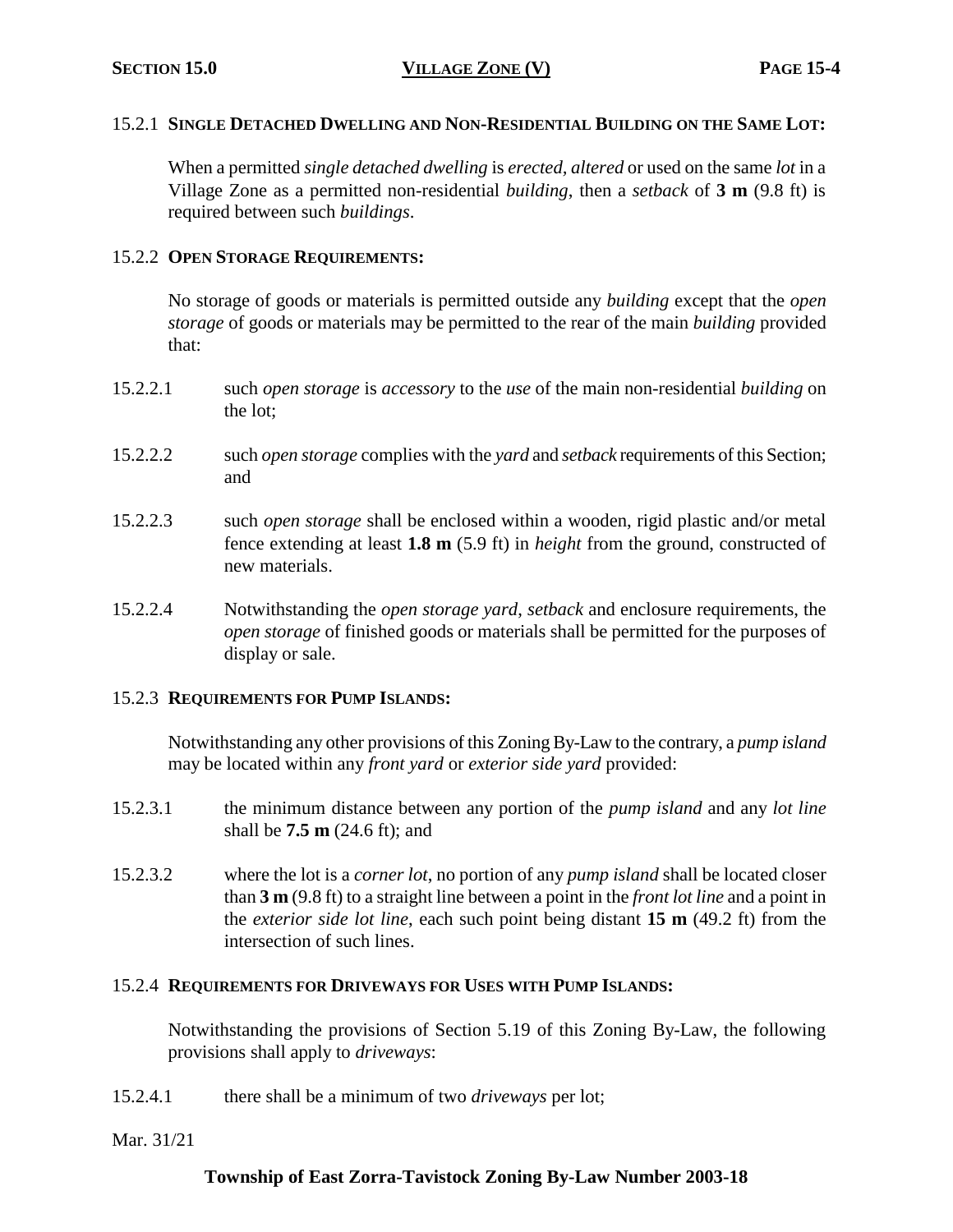#### 15.2.1 **SINGLE DETACHED DWELLING AND NON-RESIDENTIAL BUILDING ON THE SAME LOT:**

When a permitted *single detached dwelling* is *erected, altered* or used on the same *lot* in a Village Zone as a permitted non-residential *building*, then a *setback* of **3 m** (9.8 ft) is required between such *buildings*.

# 15.2.2 **OPEN STORAGE REQUIREMENTS:**

No storage of goods or materials is permitted outside any *building* except that the *open storage* of goods or materials may be permitted to the rear of the main *building* provided that:

- 15.2.2.1 such *open storage* is *accessory* to the *use* of the main non-residential *building* on the lot;
- 15.2.2.2 such *open storage* complies with the *yard* and *setback* requirements of this Section; and
- 15.2.2.3 such *open storage* shall be enclosed within a wooden, rigid plastic and/or metal fence extending at least **1.8 m** (5.9 ft) in *height* from the ground, constructed of new materials.
- 15.2.2.4 Notwithstanding the *open storage yard*, *setback* and enclosure requirements, the *open storage* of finished goods or materials shall be permitted for the purposes of display or sale.

#### 15.2.3 **REQUIREMENTS FOR PUMP ISLANDS:**

Notwithstanding any other provisions of this Zoning By-Law to the contrary, a *pump island* may be located within any *front yard* or *exterior side yard* provided:

- 15.2.3.1 the minimum distance between any portion of the *pump island* and any *lot line* shall be **7.5 m** (24.6 ft); and
- 15.2.3.2 where the lot is a *corner lot*, no portion of any *pump island* shall be located closer than **3 m** (9.8 ft) to a straight line between a point in the *front lot line* and a point in the *exterior side lot line*, each such point being distant **15 m** (49.2 ft) from the intersection of such lines.

#### 15.2.4 **REQUIREMENTS FOR DRIVEWAYS FOR USES WITH PUMP ISLANDS:**

Notwithstanding the provisions of Section 5.19 of this Zoning By-Law, the following provisions shall apply to *driveways*:

- 15.2.4.1 there shall be a minimum of two *driveways* per lot;
- Mar. 31/21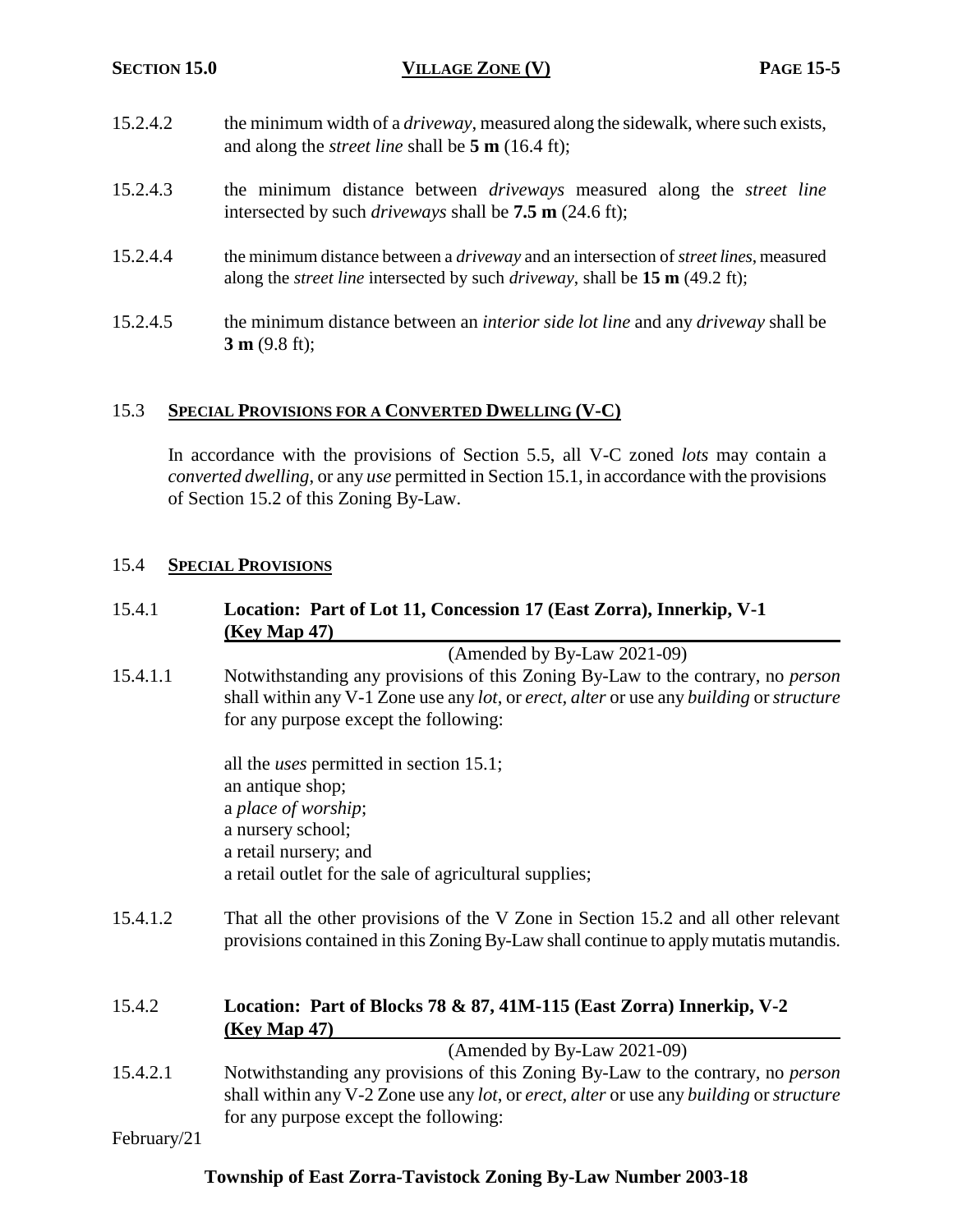- 15.2.4.2 the minimum width of a *driveway*, measured along the sidewalk, where such exists, and along the *street line* shall be **5 m** (16.4 ft);
- 15.2.4.3 the minimum distance between *driveways* measured along the *street line* intersected by such *driveways* shall be **7.5 m** (24.6 ft);
- 15.2.4.4 the minimum distance between a *driveway* and an intersection of *street lines*, measured along the *street line* intersected by such *driveway*, shall be **15 m** (49.2 ft);
- 15.2.4.5 the minimum distance between an *interior side lot line* and any *driveway* shall be **3 m** (9.8 ft);

#### 15.3 **SPECIAL PROVISIONS FOR A CONVERTED DWELLING (V-C)**

In accordance with the provisions of Section 5.5, all V-C zoned *lots* may contain a *converted dwelling*, or any *use* permitted in Section 15.1, in accordance with the provisions of Section 15.2 of this Zoning By-Law.

#### 15.4 **SPECIAL PROVISIONS**

#### 15.4.1 **Location: Part of Lot 11, Concession 17 (East Zorra), Innerkip, V-1 (Key Map 47)**

(Amended by By-Law 2021-09)

15.4.1.1 Notwithstanding any provisions of this Zoning By-Law to the contrary, no *person* shall within any V-1 Zone use any *lot*, or *erect, alter* or use any *building* or *structure* for any purpose except the following:

> all the *uses* permitted in section 15.1; an antique shop; a *place of worship*; a nursery school; a retail nursery; and a retail outlet for the sale of agricultural supplies;

15.4.1.2 That all the other provisions of the V Zone in Section 15.2 and all other relevant provisions contained in this Zoning By-Law shall continue to apply mutatis mutandis.

#### 15.4.2 **Location: Part of Blocks 78 & 87, 41M-115 (East Zorra) Innerkip, V-2 (Key Map 47)**

(Amended by By-Law 2021-09) 15.4.2.1 Notwithstanding any provisions of this Zoning By-Law to the contrary, no *person* shall within any V-2 Zone use any *lot*, or *erect, alter* or use any *building* or *structure* for any purpose except the following:

February/21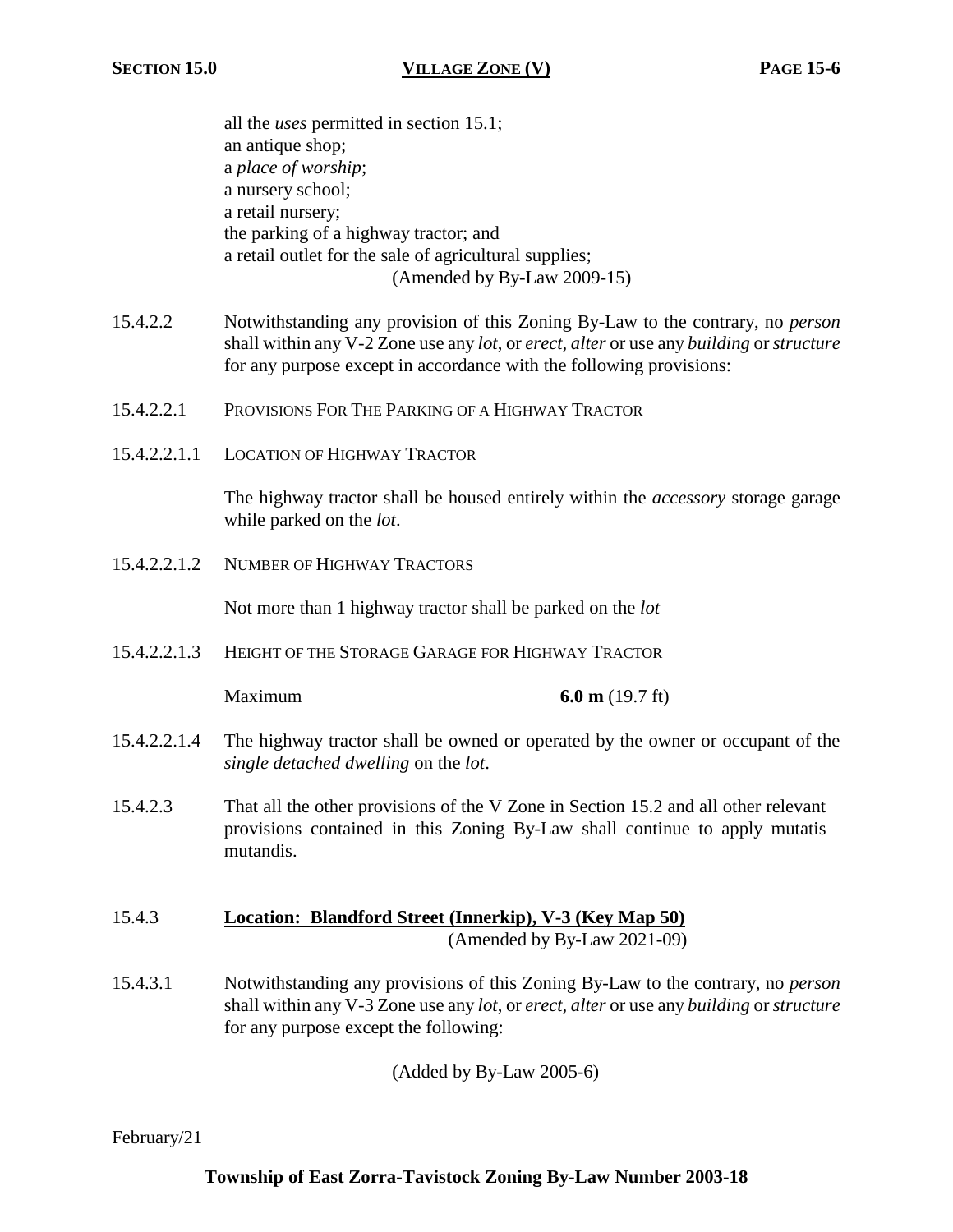all the *uses* permitted in section 15.1; an antique shop; a *place of worship*; a nursery school; a retail nursery; the parking of a highway tractor; and a retail outlet for the sale of agricultural supplies; (Amended by By-Law 2009-15)

- 15.4.2.2 Notwithstanding any provision of this Zoning By-Law to the contrary, no *person* shall within any V-2 Zone use any *lot*, or *erect, alter* or use any *building* or *structure* for any purpose except in accordance with the following provisions:
- 15.4.2.2.1 PROVISIONS FOR THE PARKING OF A HIGHWAY TRACTOR
- 15.4.2.2.1.1 LOCATION OF HIGHWAY TRACTOR

The highway tractor shall be housed entirely within the *accessory* storage garage while parked on the *lot*.

15.4.2.2.1.2 NUMBER OF HIGHWAY TRACTORS

Not more than 1 highway tractor shall be parked on the *lot*

15.4.2.2.1.3 HEIGHT OF THE STORAGE GARAGE FOR HIGHWAY TRACTOR

Maximum **6.0 m** (19.7 ft)

- 15.4.2.2.1.4 The highway tractor shall be owned or operated by the owner or occupant of the *single detached dwelling* on the *lot*.
- 15.4.2.3 That all the other provisions of the V Zone in Section 15.2 and all other relevant provisions contained in this Zoning By-Law shall continue to apply mutatis mutandis.
- 15.4.3 **Location: Blandford Street (Innerkip), V-3 (Key Map 50)**

(Amended by By-Law 2021-09)

15.4.3.1 Notwithstanding any provisions of this Zoning By-Law to the contrary, no *person* shall within any V-3 Zone use any *lot*, or *erect, alter* or use any *building* or *structure* for any purpose except the following:

(Added by By-Law 2005-6)

February/21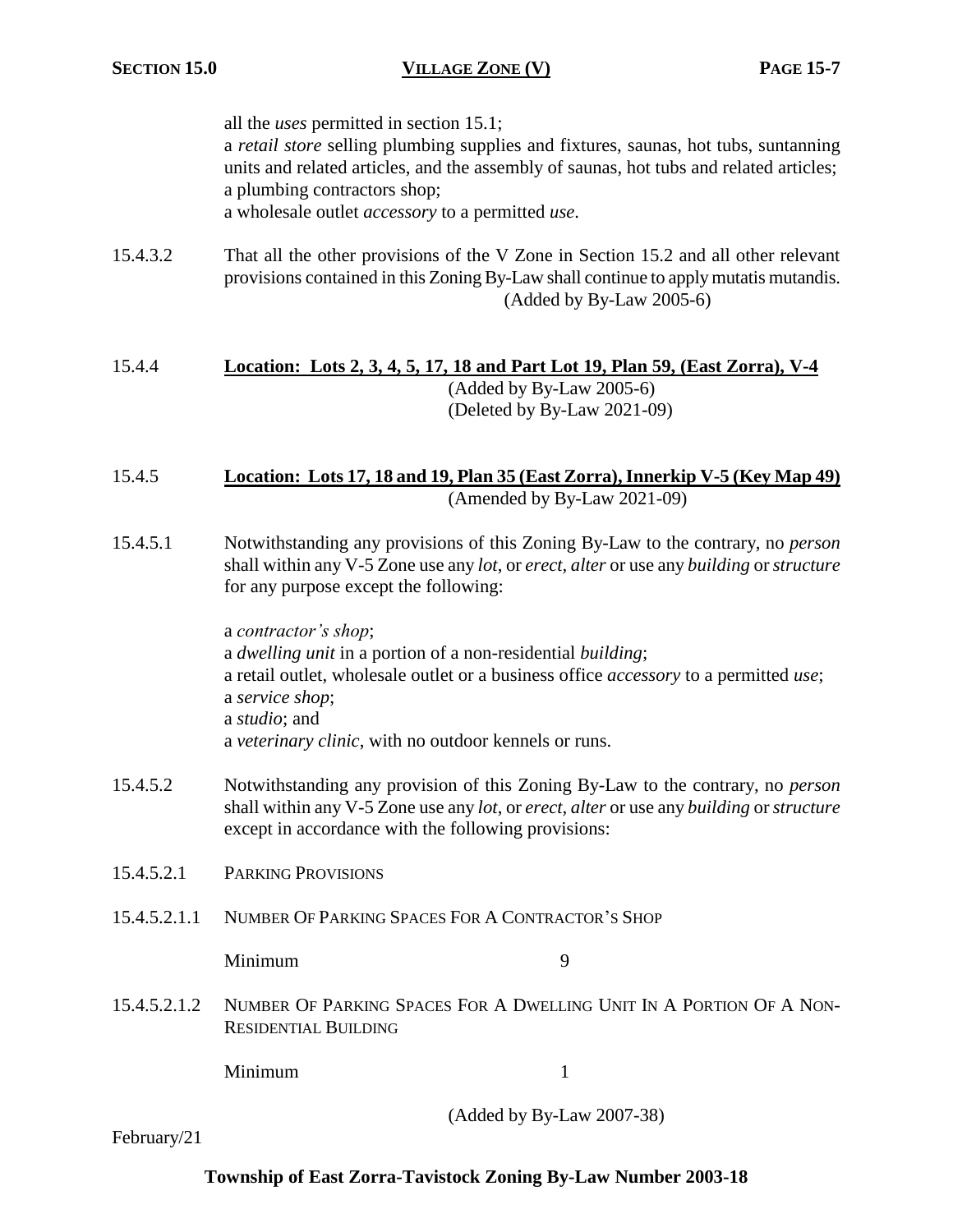all the *uses* permitted in section 15.1; a *retail store* selling plumbing supplies and fixtures, saunas, hot tubs, suntanning units and related articles, and the assembly of saunas, hot tubs and related articles; a plumbing contractors shop; a wholesale outlet *accessory* to a permitted *use*.

15.4.3.2 That all the other provisions of the V Zone in Section 15.2 and all other relevant provisions contained in this Zoning By-Law shall continue to apply mutatis mutandis. (Added by By-Law 2005-6)

#### 15.4.4 **Location: Lots 2, 3, 4, 5, 17, 18 and Part Lot 19, Plan 59, (East Zorra), V-4** (Added by By-Law 2005-6) (Deleted by By-Law 2021-09)

#### 15.4.5 **Location: Lots 17, 18 and 19, Plan 35 (East Zorra), Innerkip V-5 (Key Map 49)** (Amended by By-Law 2021-09)

15.4.5.1 Notwithstanding any provisions of this Zoning By-Law to the contrary, no *person* shall within any V-5 Zone use any *lot*, or *erect, alter* or use any *building* or *structure* for any purpose except the following:

> a *contractor's shop*; a *dwelling unit* in a portion of a non-residential *building*; a retail outlet, wholesale outlet or a business office *accessory* to a permitted *use*; a *service shop*; a *studio*; and a *veterinary clinic*, with no outdoor kennels or runs.

- 15.4.5.2 Notwithstanding any provision of this Zoning By-Law to the contrary, no *person* shall within any V-5 Zone use any *lot*, or *erect, alter* or use any *building* or *structure* except in accordance with the following provisions:
- 15.4.5.2.1 PARKING PROVISIONS
- 15.4.5.2.1.1 NUMBER OF PARKING SPACES FOR A CONTRACTOR'S SHOP

Minimum 9

15.4.5.2.1.2 NUMBER OF PARKING SPACES FOR A DWELLING UNIT IN A PORTION OF A NON-RESIDENTIAL BUILDING

Minimum 1

(Added by By-Law 2007-38)

February/21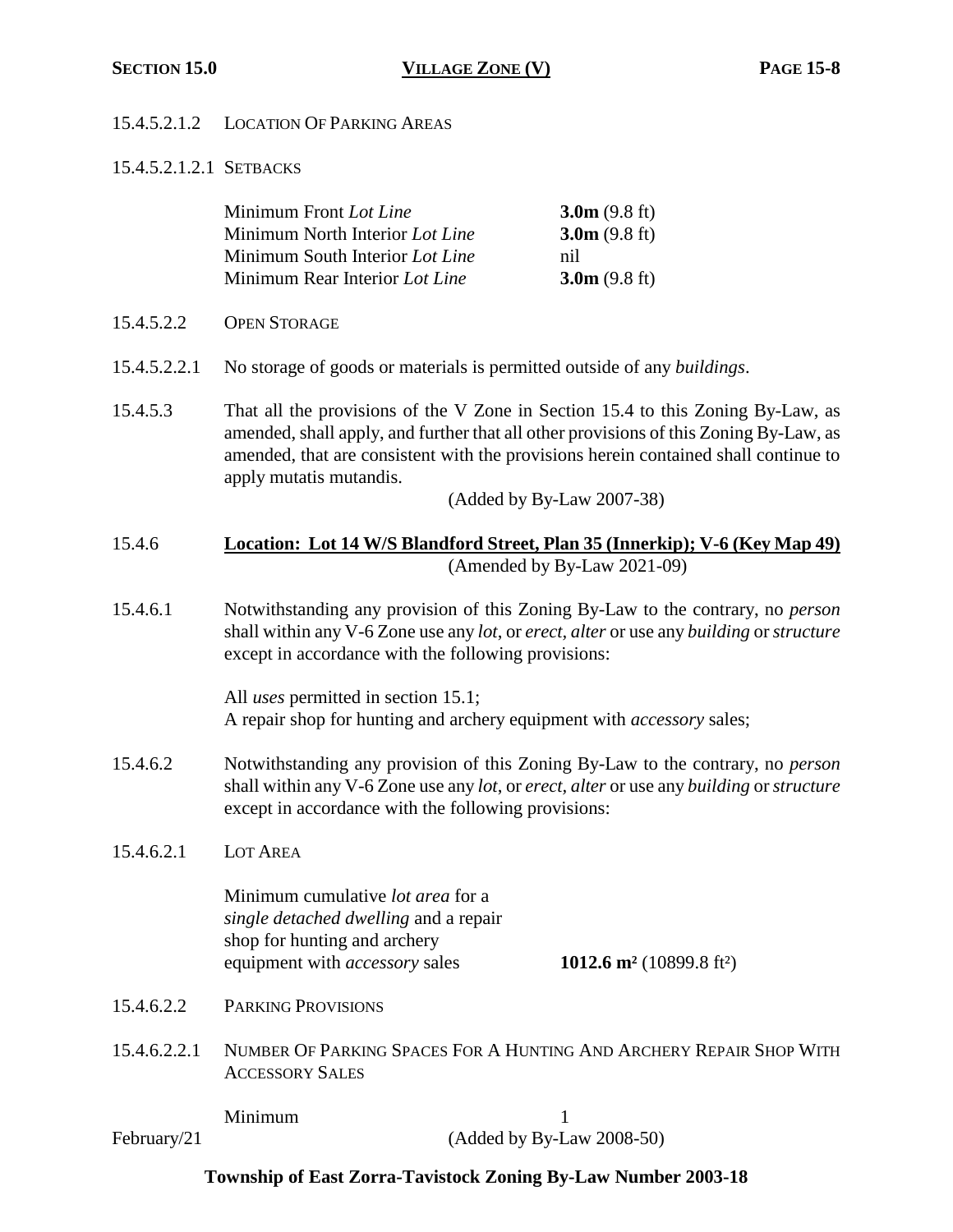# 15.4.5.2.1.2 LOCATION OF PARKING AREAS

15.4.5.2.1.2.1 SETBACKS

|              | Minimum Front Lot Line<br>Minimum North Interior Lot Line<br>Minimum South Interior Lot Line<br>Minimum Rear Interior Lot Line                                                                                                                                                                                          | $3.0m$ (9.8 ft)<br>3.0m(9.8 ft)<br>nil<br>3.0m(9.8 ft) |  |
|--------------|-------------------------------------------------------------------------------------------------------------------------------------------------------------------------------------------------------------------------------------------------------------------------------------------------------------------------|--------------------------------------------------------|--|
| 15.4.5.2.2   | <b>OPEN STORAGE</b>                                                                                                                                                                                                                                                                                                     |                                                        |  |
| 15.4.5.2.2.1 | No storage of goods or materials is permitted outside of any <i>buildings</i> .                                                                                                                                                                                                                                         |                                                        |  |
| 15.4.5.3     | That all the provisions of the V Zone in Section 15.4 to this Zoning By-Law, as<br>amended, shall apply, and further that all other provisions of this Zoning By-Law, as<br>amended, that are consistent with the provisions herein contained shall continue to<br>apply mutatis mutandis.<br>(Added by By-Law 2007-38) |                                                        |  |
| 15.4.6       | Location: Lot 14 W/S Blandford Street, Plan 35 (Innerkip); V-6 (Key Map 49)<br>(Amended by By-Law 2021-09)                                                                                                                                                                                                              |                                                        |  |
| 15.4.6.1     | Notwithstanding any provision of this Zoning By-Law to the contrary, no <i>person</i><br>shall within any V-6 Zone use any lot, or erect, alter or use any building or structure<br>except in accordance with the following provisions:                                                                                 |                                                        |  |
|              | All <i>uses</i> permitted in section 15.1;<br>A repair shop for hunting and archery equipment with accessory sales;                                                                                                                                                                                                     |                                                        |  |
| 15.4.6.2     | Notwithstanding any provision of this Zoning By-Law to the contrary, no <i>person</i><br>shall within any V-6 Zone use any lot, or erect, alter or use any building or structure<br>except in accordance with the following provisions:                                                                                 |                                                        |  |
| 15.4.6.2.1   | <b>LOT AREA</b>                                                                                                                                                                                                                                                                                                         |                                                        |  |
|              | Minimum cumulative lot area for a<br>single detached dwelling and a repair<br>shop for hunting and archery<br>equipment with <i>accessory</i> sales                                                                                                                                                                     | 1012.6 m <sup>2</sup> (10899.8 ft <sup>2</sup> )       |  |
| 15.4.6.2.2   | <b>PARKING PROVISIONS</b>                                                                                                                                                                                                                                                                                               |                                                        |  |
| 15.4.6.2.2.1 | NUMBER OF PARKING SPACES FOR A HUNTING AND ARCHERY REPAIR SHOP WITH<br><b>ACCESSORY SALES</b>                                                                                                                                                                                                                           |                                                        |  |
| February/21  | Minimum                                                                                                                                                                                                                                                                                                                 | 1<br>(Added by By-Law 2008-50)                         |  |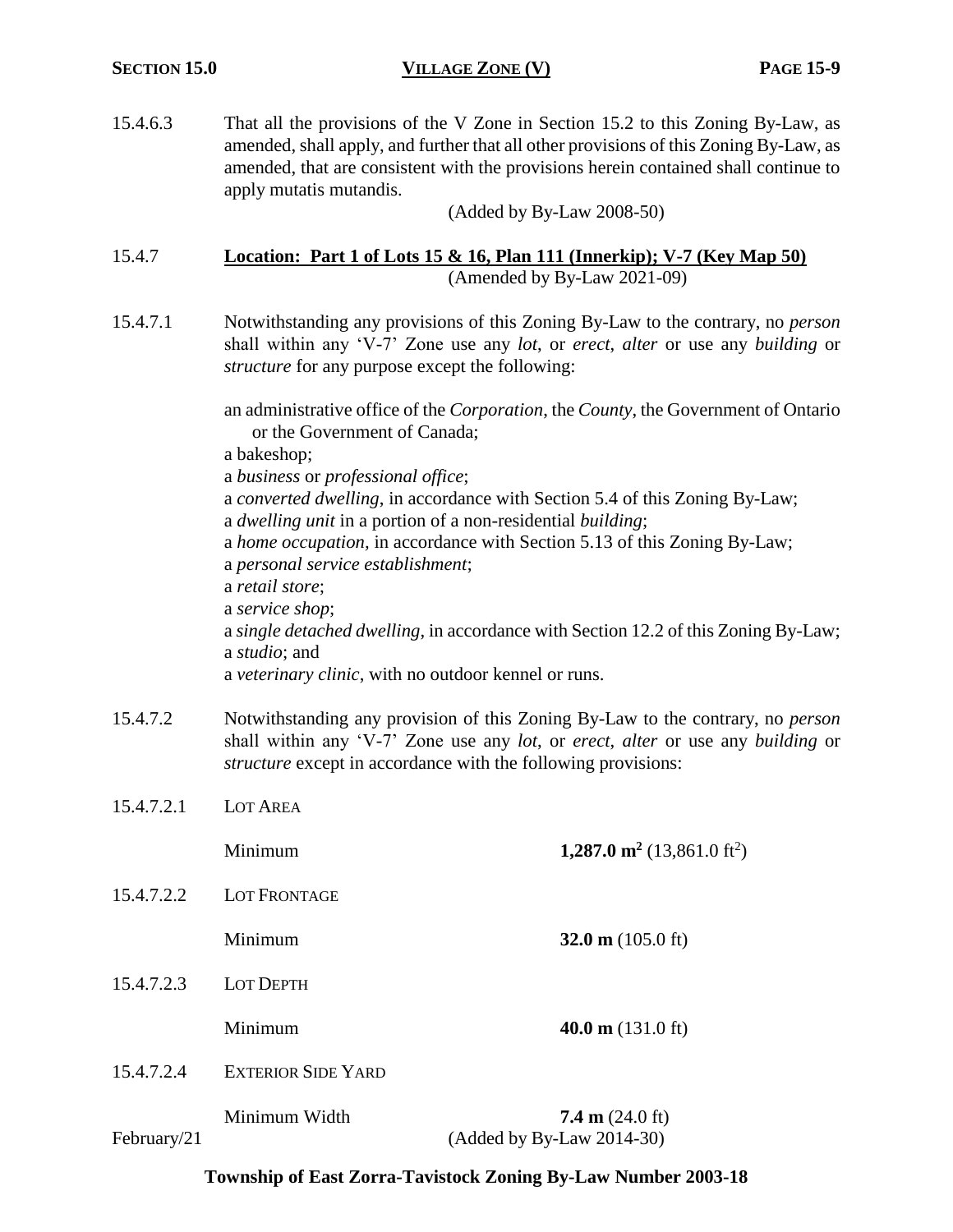15.4.6.3 That all the provisions of the V Zone in Section 15.2 to this Zoning By-Law, as amended, shall apply, and further that all other provisions of this Zoning By-Law, as amended, that are consistent with the provisions herein contained shall continue to apply mutatis mutandis.

(Added by By-Law 2008-50)

# 15.4.7 **Location: Part 1 of Lots 15 & 16, Plan 111 (Innerkip); V-7 (Key Map 50)** (Amended by By-Law 2021-09)

15.4.7.1 Notwithstanding any provisions of this Zoning By-Law to the contrary, no *person* shall within any 'V-7' Zone use any *lot*, or *erect*, *alter* or use any *building* or *structure* for any purpose except the following:

> an administrative office of the *Corporation*, the *County*, the Government of Ontario or the Government of Canada;

a bakeshop;

- a *business* or *professional office*;
- a *converted dwelling*, in accordance with Section 5.4 of this Zoning By-Law;
- a *dwelling unit* in a portion of a non-residential *building*;
- a *home occupation,* in accordance with Section 5.13 of this Zoning By-Law;
- a *personal service establishment*;
- a *retail store*;
- a *service shop*;
- a *single detached dwelling*, in accordance with Section 12.2 of this Zoning By-Law; a *studio*; and

a *veterinary clinic*, with no outdoor kennel or runs.

- 15.4.7.2 Notwithstanding any provision of this Zoning By-Law to the contrary, no *person* shall within any 'V-7' Zone use any *lot*, or *erect*, *alter* or use any *building* or *structure* except in accordance with the following provisions:
- 15.4.7.2.1 LOT AREA

**1,287.0 m**<sup>2</sup> (13,861.0 ft<sup>2</sup>)

15.4.7.2.2 LOT FRONTAGE

Minimum **32.0 m** (105.0 ft)

15.4.7.2.3 LOT DEPTH

Minimum **40.0 m** (131.0 ft)

15.4.7.2.4 EXTERIOR SIDE YARD

Minimum Width **7.4 m** (24.0 ft) February/21 (Added by By-Law 2014-30)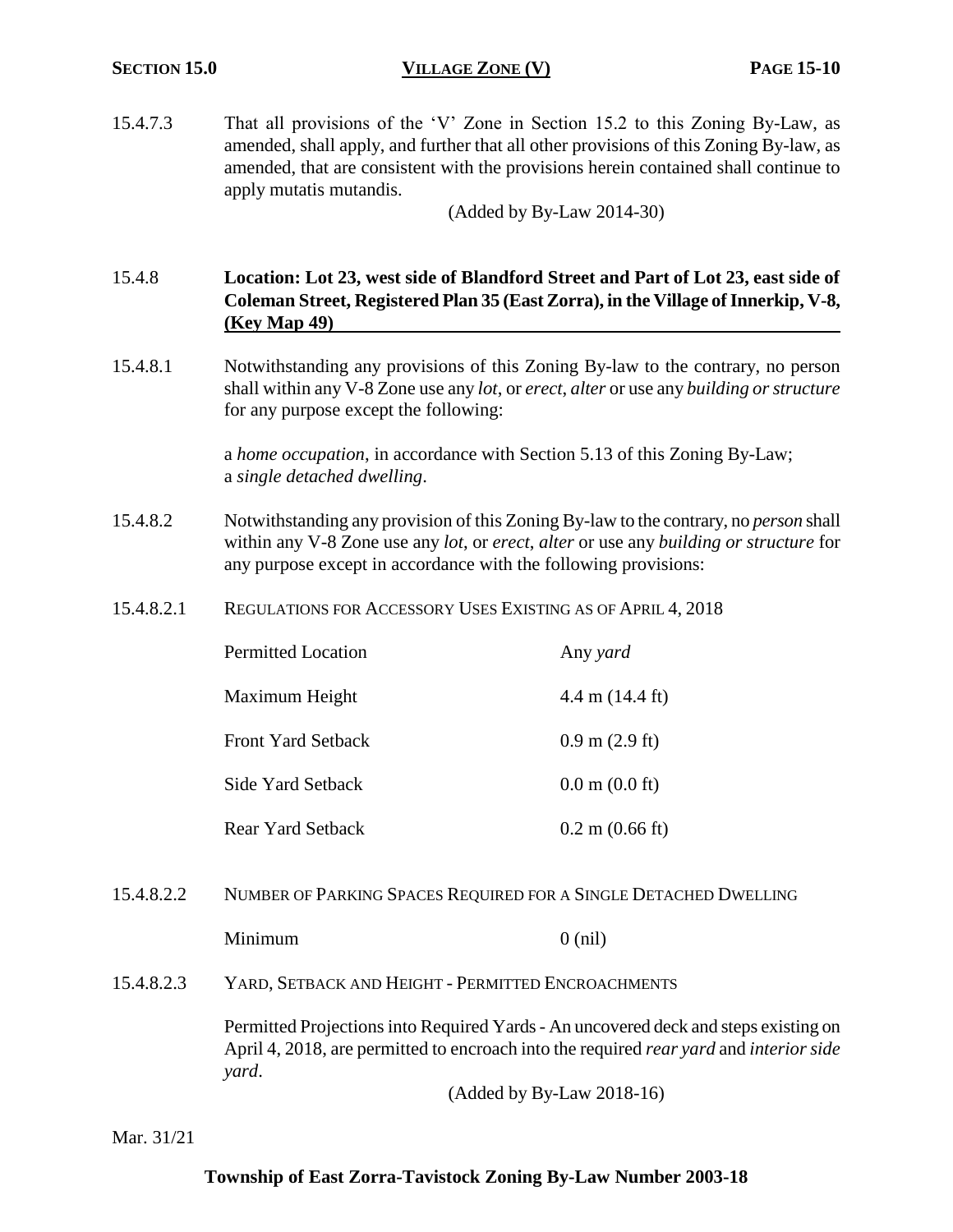15.4.7.3 That all provisions of the 'V' Zone in Section 15.2 to this Zoning By-Law, as amended, shall apply, and further that all other provisions of this Zoning By-law, as amended, that are consistent with the provisions herein contained shall continue to apply mutatis mutandis.

(Added by By-Law 2014-30)

# 15.4.8 **Location: Lot 23, west side of Blandford Street and Part of Lot 23, east side of Coleman Street, Registered Plan 35 (East Zorra), in the Village of Innerkip, V-8, (Key Map 49)**

15.4.8.1 Notwithstanding any provisions of this Zoning By-law to the contrary, no person shall within any V-8 Zone use any *lot*, or *erect*, *alter* or use any *building or structure* for any purpose except the following:

> a *home occupation*, in accordance with Section 5.13 of this Zoning By-Law; a *single detached dwelling*.

- 15.4.8.2 Notwithstanding any provision of this Zoning By-law to the contrary, no *person* shall within any V-8 Zone use any *lot*, or *erect*, *alter* or use any *building or structure* for any purpose except in accordance with the following provisions:
- 15.4.8.2.1 REGULATIONS FOR ACCESSORY USES EXISTING AS OF APRIL 4, 2018

| <b>Permitted Location</b> | Any yard                           |
|---------------------------|------------------------------------|
| Maximum Height            | $4.4 \text{ m}$ (14.4 ft)          |
| <b>Front Yard Setback</b> | $0.9 \text{ m}$ (2.9 ft)           |
| Side Yard Setback         | $0.0 \text{ m}$ $(0.0 \text{ ft})$ |
| <b>Rear Yard Setback</b>  | $0.2 \text{ m}$ (0.66 ft)          |

15.4.8.2.2 NUMBER OF PARKING SPACES REQUIRED FOR A SINGLE DETACHED DWELLING

Minimum 0 (nil)

15.4.8.2.3 YARD, SETBACK AND HEIGHT - PERMITTED ENCROACHMENTS

Permitted Projections into Required Yards - An uncovered deck and steps existing on April 4, 2018, are permitted to encroach into the required *rear yard* and *interior side yard*.

(Added by By-Law 2018-16)

Mar. 31/21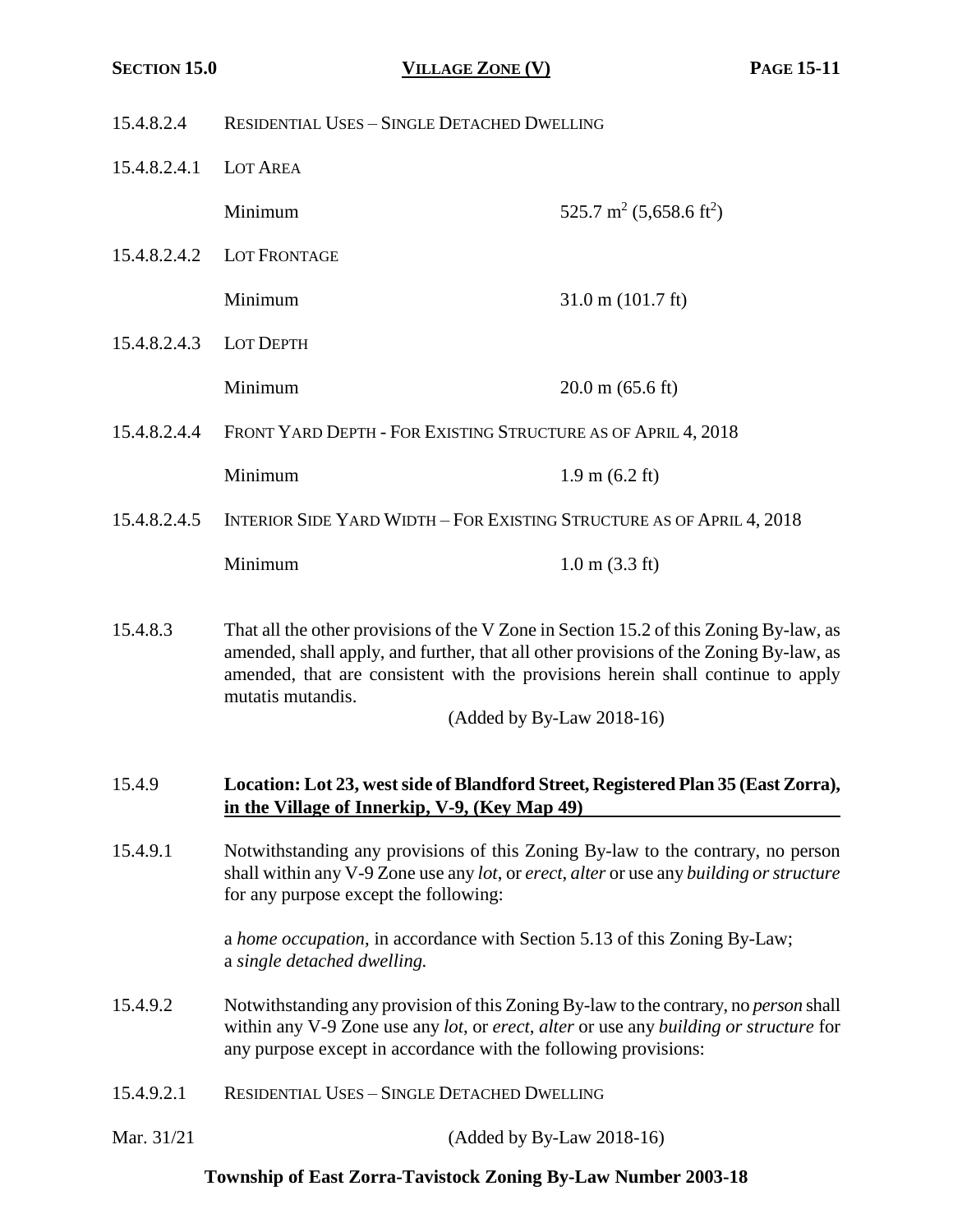- 15.4.8.2.4 RESIDENTIAL USES SINGLE DETACHED DWELLING
- 15.4.8.2.4.1 LOT AREA

Minimum  $525.7 \text{ m}^2 (5,658.6 \text{ ft}^2)$ 

- 15.4.8.2.4.2 LOT FRONTAGE
- 15.4.8.2.4.3 LOT DEPTH
	- Minimum 20.0 m (65.6 ft)

Minimum 31.0 m (101.7 ft)

15.4.8.2.4.4 FRONT YARD DEPTH - FOR EXISTING STRUCTURE AS OF APRIL 4, 2018

Minimum 1.9 m (6.2 ft)

15.4.8.2.4.5 INTERIOR SIDE YARD WIDTH – FOR EXISTING STRUCTURE AS OF APRIL 4, 2018

Minimum 1.0 m (3.3 ft)

15.4.8.3 That all the other provisions of the V Zone in Section 15.2 of this Zoning By-law, as amended, shall apply, and further, that all other provisions of the Zoning By-law, as amended, that are consistent with the provisions herein shall continue to apply mutatis mutandis.

(Added by By-Law 2018-16)

#### 15.4.9 **Location: Lot 23, west side of Blandford Street, Registered Plan 35 (East Zorra), in the Village of Innerkip, V-9, (Key Map 49)**

15.4.9.1 Notwithstanding any provisions of this Zoning By-law to the contrary, no person shall within any V-9 Zone use any *lot*, or *erect*, *alter* or use any *building or structure* for any purpose except the following:

> a *home occupation*, in accordance with Section 5.13 of this Zoning By-Law; a *single detached dwelling.*

- 15.4.9.2 Notwithstanding any provision of this Zoning By-law to the contrary, no *person* shall within any V-9 Zone use any *lot*, or *erect*, *alter* or use any *building or structure* for any purpose except in accordance with the following provisions:
- 15.4.9.2.1 RESIDENTIAL USES SINGLE DETACHED DWELLING
- Mar. 31/21 (Added by By-Law 2018-16)